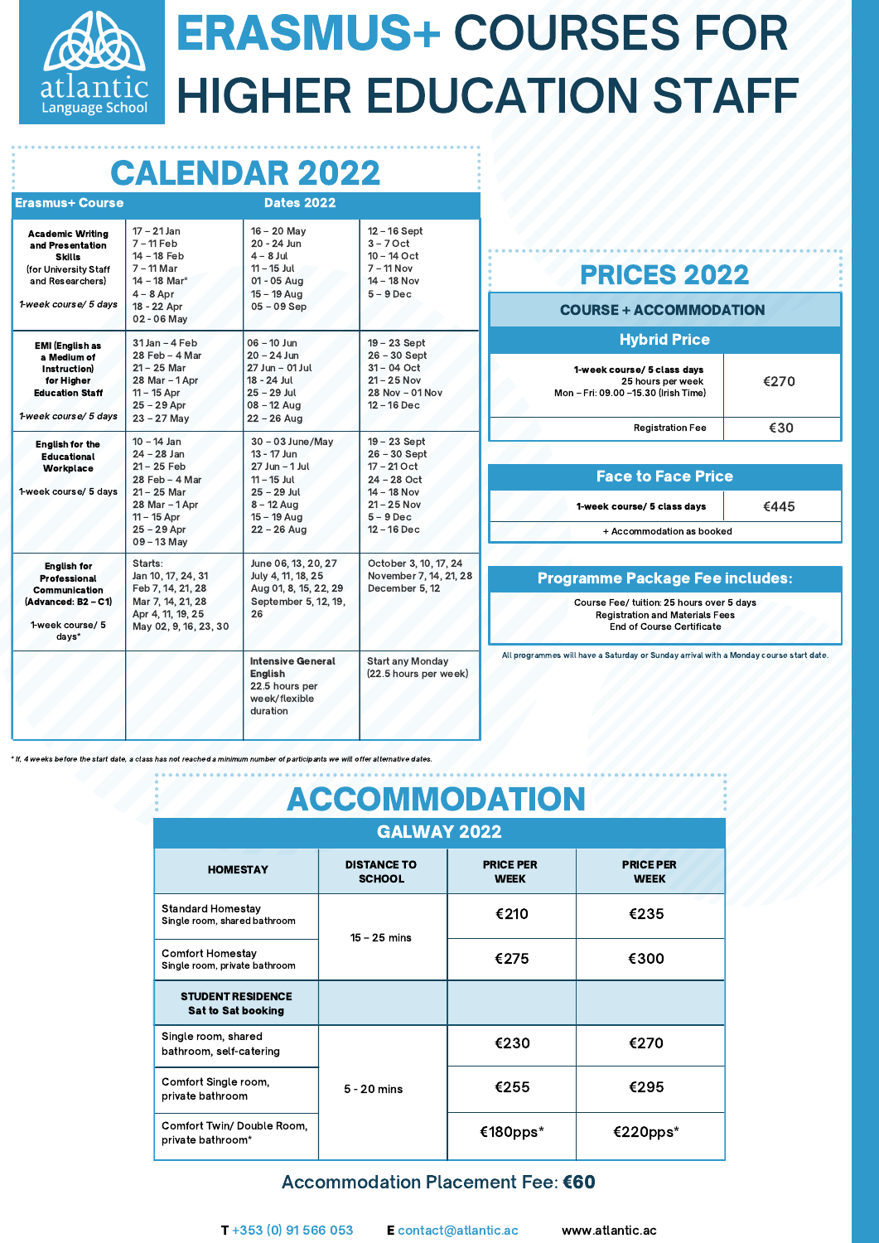

# ERASMUS+ COURSES FOR HIGHER EDUCATION STAFF

# CALENDAR 2022

| <b>Erasmus+ Course</b>                                                                                                             |                                                                                                                                                     | <b>Dates 2022</b>                                                                                                                           |                                                                                                                                  |
|------------------------------------------------------------------------------------------------------------------------------------|-----------------------------------------------------------------------------------------------------------------------------------------------------|---------------------------------------------------------------------------------------------------------------------------------------------|----------------------------------------------------------------------------------------------------------------------------------|
| <b>Academic Writing</b><br>and Presentation<br><b>Skills</b><br>(for University Staff<br>and Researchers)<br>1-week course/ 5 days | $17 - 21$ Jan<br>$7 - 11$ Feb<br>14 - 18 Feb<br>$7 - 11$ Mar<br>14 - 18 Mar*<br>$4 - 8$ Apr<br>18 - 22 Apr<br>02 - 06 May                           | $16 - 20$ May<br>20 - 24 Jun<br>$4 - 8$ Jul<br>$11 - 15$ Jul<br>01 - 05 Aug<br>$15 - 19$ Aug<br>$05 - 09$ Sep                               | $12 - 16$ Sept<br>$3 - 7$ Oct<br>$10 - 14$ Oct<br>$7 - 11$ Nov<br>$14 - 18$ Nov<br>$5 - 9$ Dec                                   |
| <b>EMI (English as</b><br>a Medium of<br>Instruction)<br>for Higher<br><b>Education Staff</b><br>1-week course/ 5 days             | 31 Jan - 4 Feb<br>28 Feb - 4 Mar<br>$21 - 25$ Mar<br>28 Mar - 1 Apr<br>$11 - 15$ Apr<br>$25 - 29$ Apr<br>$23 - 27$ May                              | $06 - 10$ Jun<br>$20 - 24$ Jun<br>27 Jun - 01 Jul<br>18 - 24 Jul<br>$25 - 29$ Jul<br>$08 - 12$ Aug<br>$22 - 26$ Aug                         | 19 - 23 Sept<br>$26 - 30$ Sept<br>$31 - 04$ Oct<br>$21 - 25$ Nov<br>28 Nov - 01 Nov<br>$12 - 16$ Dec                             |
| <b>English for the</b><br><b>Educational</b><br>Workplace<br>1-week course/ 5 days                                                 | $10 - 14$ Jan<br>$24 - 28$ Jan<br>$21 - 25$ Feb<br>28 Feb - 4 Mar<br>21 - 25 Mar<br>28 Mar - 1 Apr<br>$11 - 15$ Apr<br>$25 - 29$ Apr<br>09 - 13 May | $30 - 03$ June/May<br>13 - 17 Jun<br>$27$ Jun $-$ 1 Jul<br>$11 - 15$ Jul<br>$25 - 29$ Jul<br>$8 - 12$ Aug<br>$15 - 19$ Aug<br>$22 - 26$ Aug | 19 - 23 Sept<br>$26 - 30$ Sept<br>$17 - 21$ Oct<br>$24 - 28$ Oct<br>14 - 18 Nov<br>$21 - 25$ Nov<br>$5 - 9$ Dec<br>$12 - 16$ Dec |
| <b>English for</b><br><b>Professional</b><br>Communication<br>(Advanced: B2 - C1)<br>1-week course/ 5<br>days*                     | Starts:<br>Jan 10, 17, 24, 31<br>Feb 7, 14, 21, 28<br>Mar 7, 14, 21, 28<br>Apr 4, 11, 19, 25<br>May 02, 9, 16, 23, 30                               | June 06, 13, 20, 27<br>July 4, 11, 18, 25<br>Aug 01, 8, 15, 22, 29<br>September 5, 12, 19,<br>26                                            | October 3, 10, 17, 24<br>November 7, 14, 21, 28<br>December 5, 12                                                                |
|                                                                                                                                    |                                                                                                                                                     | <b>Intensive General</b><br><b>English</b><br>22.5 hours per<br>week/flexible<br>duration                                                   | Start any Monday<br>(22.5 hours per week)                                                                                        |

### PRICES 2022

#### COURSE + ACCOMMODATION

| <b>Hybrid Price</b>                                                                      |      |  |  |
|------------------------------------------------------------------------------------------|------|--|--|
| 1-week course/ 5 class days<br>25 hours per week<br>Mon - Fri: 09.00 -15.30 (Irish Time) | €270 |  |  |
| <b>Registration Fee</b>                                                                  | ิ∉จ∩ |  |  |

| <b>Face to Face Price</b>   |      |
|-----------------------------|------|
| 1-week course/ 5 class days | €445 |
| + Accommodation as booked   |      |

#### Programme Package Fee includes:

Course Fee/ tuition: 25 hours over 5 days Registration and Materials Fees End of Course Certificate

All programmes will have a Saturday or Sunday arrival with a Monday course start date.

eeks before the start date, a class has not reached a minimum number of participants we will offer alternative dates

| <b>ACCOMMODATION</b>                                     |                                     |                                 |                                 |  |
|----------------------------------------------------------|-------------------------------------|---------------------------------|---------------------------------|--|
| <b>GALWAY 2022</b>                                       |                                     |                                 |                                 |  |
| <b>HOMESTAY</b>                                          | <b>DISTANCE TO</b><br><b>SCHOOL</b> | <b>PRICE PER</b><br><b>WEEK</b> | <b>PRICE PER</b><br><b>WEEK</b> |  |
| <b>Standard Homestay</b><br>Single room, shared bathroom | $15 - 25$ mins                      | €210                            | €235                            |  |
| Comfort Homestay<br>Single room, private bathroom        |                                     | €275                            | €300                            |  |
| <b>STUDENT RESIDENCE</b><br><b>Sat to Sat booking</b>    |                                     |                                 |                                 |  |
| Single room, shared<br>bathroom, self-catering           | $5 - 20$ mins                       | €230                            | €270                            |  |
| Comfort Single room,<br>private bathroom                 |                                     | €255                            | €295                            |  |
| Comfort Twin/ Double Room,<br>private bathroom*          |                                     | €180pps*                        | €220pps*                        |  |

### Accommodation Placement Fee: €60